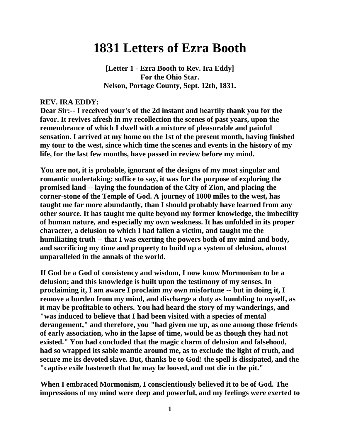# **1831 Letters of Ezra Booth**

**[Letter 1 - Ezra Booth to Rev. Ira Eddy] For the Ohio Star. Nelson, Portage County, Sept. 12th, 1831.**

#### **REV. IRA EDDY:**

**Dear Sir:-- I received your's of the 2d instant and heartily thank you for the favor. It revives afresh in my recollection the scenes of past years, upon the remembrance of which I dwell with a mixture of pleasurable and painful sensation. I arrived at my home on the 1st of the present month, having finished my tour to the west, since which time the scenes and events in the history of my life, for the last few months, have passed in review before my mind.**

**You are not, it is probable, ignorant of the designs of my most singular and romantic undertaking: suffice to say, it was for the purpose of exploring the promised land -- laying the foundation of the City of Zion, and placing the corner-stone of the Temple of God. A journey of 1000 miles to the west, has taught me far more abundantly, than I should probably have learned from any other source. It has taught me quite beyond my former knowledge, the imbecility of human nature, and especially my own weakness. It has unfolded in its proper character, a delusion to which I had fallen a victim, and taught me the humiliating truth -- that I was exerting the powers both of my mind and body, and sacrificing my time and property to build up a system of delusion, almost unparalleled in the annals of the world.**

**If God be a God of consistency and wisdom, I now know Mormonism to be a delusion; and this knowledge is built upon the testimony of my senses. In proclaiming it, I am aware I proclaim my own misfortune -- but in doing it, I remove a burden from my mind, and discharge a duty as humbling to myself, as it may be profitable to others. You had heard the story of my wanderings, and "was induced to believe that I had been visited with a species of mental derangement," and therefore, you "had given me up, as one among those friends of early association, who in the lapse of time, would be as though they had not existed." You had concluded that the magic charm of delusion and falsehood, had so wrapped its sable mantle around me, as to exclude the light of truth, and secure me its devoted slave. But, thanks be to God! the spell is dissipated, and the "captive exile hasteneth that he may be loosed, and not die in the pit."**

**When I embraced Mormonism, I conscientiously believed it to be of God. The impressions of my mind were deep and powerful, and my feelings were exerted to**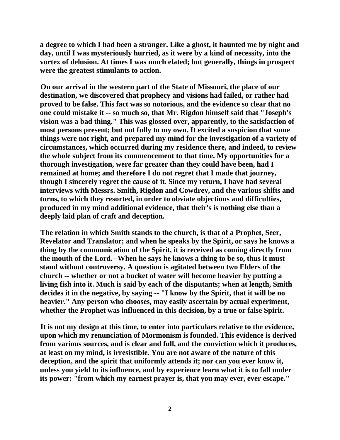**a degree to which I had been a stranger. Like a ghost, it haunted me by night and day, until I was mysteriously hurried, as it were by a kind of necessity, into the vortex of delusion. At times I was much elated; but generally, things in prospect were the greatest stimulants to action.**

**On our arrival in the western part of the State of Missouri, the place of our destination, we discovered that prophecy and visions had failed, or rather had proved to be false. This fact was so notorious, and the evidence so clear that no one could mistake it -- so much so, that Mr. Rigdon himself said that "Joseph's vision was a bad thing." This was glossed over, apparently, to the satisfaction of most persons present; but not fully to my own. It excited a suspicion that some things were not right, and prepared my mind for the investigation of a variety of circumstances, which occurred during my residence there, and indeed, to review the whole subject from its commencement to that time. My opportunities for a thorough investigation, were far greater than they could have been, had I remained at home; and therefore I do not regret that I made that journey, though I sincerely regret the cause of it. Since my return, I have had several interviews with Messrs. Smith, Rigdon and Cowdrey, and the various shifts and turns, to which they resorted, in order to obviate objections and difficulties, produced in my mind additional evidence, that their's is nothing else than a deeply laid plan of craft and deception.**

**The relation in which Smith stands to the church, is that of a Prophet, Seer, Revelator and Translator; and when he speaks by the Spirit, or says he knows a thing by the communication of the Spirit, it is received as coming directly from the mouth of the Lord.--When he says he knows a thing to be so, thus it must stand without controversy. A question is agitated between two Elders of the church -- whether or not a bucket of water will become heavier by putting a living fish into it. Much is said by each of the disputants; when at length, Smith decides it in the negative, by saying -- "I know by the Spirit, that it will be no heavier." Any person who chooses, may easily ascertain by actual experiment, whether the Prophet was influenced in this decision, by a true or false Spirit.**

**It is not my design at this time, to enter into particulars relative to the evidence, upon which my renunciation of Mormonism is founded. This evidence is derived from various sources, and is clear and full, and the conviction which it produces, at least on my mind, is irresistible. You are not aware of the nature of this deception, and the spirit that uniformly attends it; nor can you ever know it, unless you yield to its influence, and by experience learn what it is to fall under its power: "from which my earnest prayer is, that you may ever, ever escape."**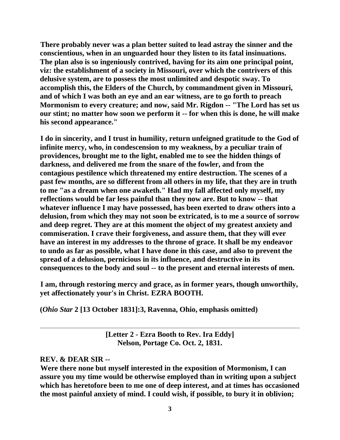**There probably never was a plan better suited to lead astray the sinner and the conscientious, when in an unguarded hour they listen to its fatal insinuations. The plan also is so ingeniously contrived, having for its aim one principal point, viz: the establishment of a society in Missouri, over which the contrivers of this delusive system, are to possess the most unlimited and despotic sway. To accomplish this, the Elders of the Church, by commandment given in Missouri, and of which I was both an eye and an ear witness, are to go forth to preach Mormonism to every creature; and now, said Mr. Rigdon -- "The Lord has set us our stint; no matter how soon we perform it -- for when this is done, he will make his second appearance."**

**I do in sincerity, and I trust in humility, return unfeigned gratitude to the God of infinite mercy, who, in condescension to my weakness, by a peculiar train of providences, brought me to the light, enabled me to see the hidden things of darkness, and delivered me from the snare of the fowler, and from the contagious pestilence which threatened my entire destruction. The scenes of a past few months, are so different from all others in my life, that they are in truth to me "as a dream when one awaketh." Had my fall affected only myself, my reflections would be far less painful than they now are. But to know -- that whatever influence I may have possessed, has been exerted to draw others into a delusion, from which they may not soon be extricated, is to me a source of sorrow and deep regret. They are at this moment the object of my greatest anxiety and commiseration. I crave their forgiveness, and assure them, that they will ever have an interest in my addresses to the throne of grace. It shall be my endeavor to undo as far as possible, what I have done in this case, and also to prevent the spread of a delusion, pernicious in its influence, and destructive in its consequences to the body and soul -- to the present and eternal interests of men.**

**I am, through restoring mercy and grace, as in former years, though unworthily, yet affectionately your's in Christ. EZRA BOOTH.**

**(***Ohio Star* **2 [13 October 1831]:3, Ravenna, Ohio, emphasis omitted)**

**[Letter 2 - Ezra Booth to Rev. Ira Eddy] Nelson, Portage Co. Oct. 2, 1831.**

# **REV. & DEAR SIR --**

**Were there none but myself interested in the exposition of Mormonism, I can assure you my time would be otherwise employed than in writing upon a subject which has heretofore been to me one of deep interest, and at times has occasioned the most painful anxiety of mind. I could wish, if possible, to bury it in oblivion;**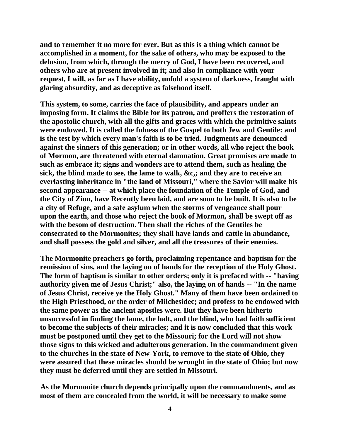**and to remember it no more for ever. But as this is a thing which cannot be accomplished in a moment, for the sake of others, who may be exposed to the delusion, from which, through the mercy of God, I have been recovered, and others who are at present involved in it; and also in compliance with your request, I will, as far as I have ability, unfold a system of darkness, fraught with glaring absurdity, and as deceptive as falsehood itself.**

**This system, to some, carries the face of plausibility, and appears under an imposing form. It claims the Bible for its patron, and proffers the restoration of the apostolic church, with all the gifts and graces with which the primitive saints were endowed. It is called the fulness of the Gospel to both Jew and Gentile: and is the test by which every man's faith is to be tried. Judgments are denounced against the sinners of this generation; or in other words, all who reject the book of Mormon, are threatened with eternal damnation. Great promises are made to such as embrace it; signs and wonders are to attend them, such as healing the sick, the blind made to see, the lame to walk, &c,; and they are to receive an everlasting inheritance in "the land of Missouri," where the Savior will make his second appearance -- at which place the foundation of the Temple of God, and the City of Zion, have Recently been laid, and are soon to be built. It is also to be a city of Refuge, and a safe asylum when the storms of vengeance shall pour upon the earth, and those who reject the book of Mormon, shall be swept off as with the besom of destruction. Then shall the riches of the Gentiles be consecrated to the Mormonites; they shall have lands and cattle in abundance, and shall possess the gold and silver, and all the treasures of their enemies.**

**The Mormonite preachers go forth, proclaiming repentance and baptism for the remission of sins, and the laying on of hands for the reception of the Holy Ghost. The form of baptism is similar to other orders; only it is prefaced with -- "having authority given me of Jesus Christ;" also, the laying on of hands -- "In the name of Jesus Christ, receive ye the Holy Ghost." Many of them have been ordained to the High Priesthood, or the order of Milchesidec; and profess to be endowed with the same power as the ancient apostles were. But they have been hitherto unsuccessful in finding the lame, the halt, and the blind, who had faith sufficient to become the subjects of their miracles; and it is now concluded that this work must be postponed until they get to the Missouri; for the Lord will not show those signs to this wicked and adulterous generation. In the commandment given to the churches in the state of New-York, to remove to the state of Ohio, they were assured that these miracles should be wrought in the state of Ohio; but now they must be deferred until they are settled in Missouri.**

**As the Mormonite church depends principally upon the commandments, and as most of them are concealed from the world, it will be necessary to make some**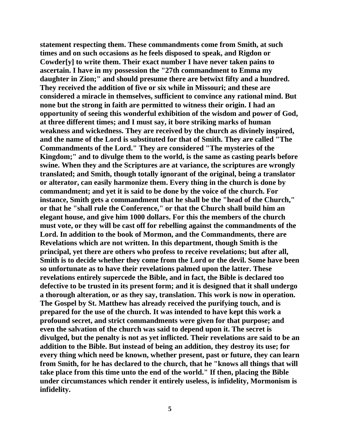**statement respecting them. These commandments come from Smith, at such times and on such occasions as he feels disposed to speak, and Rigdon or Cowder[y] to write them. Their exact number I have never taken pains to ascertain. I have in my possession the "27th commandment to Emma my daughter in Zion;" and should presume there are betwixt fifty and a hundred. They received the addition of five or six while in Missouri; and these are considered a miracle in themselves, sufficient to convince any rational mind. But none but the strong in faith are permitted to witness their origin. I had an opportunity of seeing this wonderful exhibition of the wisdom and power of God, at three different times; and I must say, it bore striking marks of human weakness and wickedness. They are received by the church as divinely inspired, and the name of the Lord is substituted for that of Smith. They are called "The Commandments of the Lord." They are considered "The mysteries of the Kingdom;" and to divulge them to the world, is the same as casting pearls before swine. When they and the Scriptures are at variance, the scriptures are wrongly translated; and Smith, though totally ignorant of the original, being a translator or alterator, can easily harmonize them. Every thing in the church is done by commandment; and yet it is said to be done by the voice of the church. For instance, Smith gets a commandment that he shall be the "head of the Church," or that he "shall rule the Conference," or that the Church shall build him an elegant house, and give him 1000 dollars. For this the members of the church must vote, or they will be cast off for rebelling against the commandments of the Lord. In addition to the book of Mormon, and the Commandments, there are Revelations which are not written. In this department, though Smith is the principal, yet there are others who profess to receive revelations; but after all, Smith is to decide whether they come from the Lord or the devil. Some have been so unfortunate as to have their revelations palmed upon the latter. These revelations entirely supercede the Bible, and in fact, the Bible is declared too defective to be trusted in its present form; and it is designed that it shall undergo a thorough alteration, or as they say, translation. This work is now in operation. The Gospel by St. Matthew has already received the purifying touch, and is prepared for the use of the church. It was intended to have kept this work a profound secret, and strict commandments were given for that purpose; and even the salvation of the church was said to depend upon it. The secret is divulged, but the penalty is not as yet inflicted. Their revelations are said to be an addition to the Bible. But instead of being an addition, they destroy its use; for every thing which need be known, whether present, past or future, they can learn from Smith, for he has declared to the church, that he "knows all things that will take place from this time unto the end of the world." If then, placing the Bible under circumstances which render it entirely useless, is infidelity, Mormonism is infidelity.**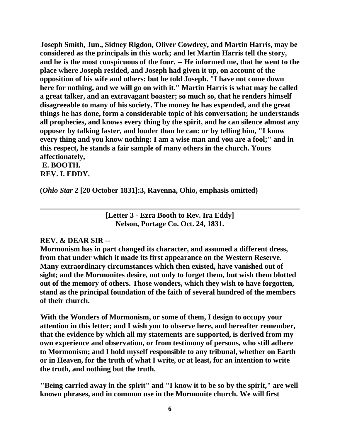**Joseph Smith, Jun., Sidney Rigdon, Oliver Cowdrey, and Martin Harris, may be considered as the principals in this work; and let Martin Harris tell the story, and he is the most conspicuous of the four. -- He informed me, that he went to the place where Joseph resided, and Joseph had given it up, on account of the opposition of his wife and others: but he told Joseph. "I have not come down here for nothing, and we will go on with it." Martin Harris is what may be called a great talker, and an extravagant boaster; so much so, that he renders himself disagreeable to many of his society. The money he has expended, and the great things he has done, form a considerable topic of his conversation; he understands all prophecies, and knows every thing by the spirit, and he can silence almost any opposer by talking faster, and louder than he can: or by telling him, "I know every thing and you know nothing: I am a wise man and you are a fool;" and in this respect, he stands a fair sample of many others in the church. Yours affectionately,**

#### **E. BOOTH. REV. I. EDDY.**

**(***Ohio Star* **2 [20 October 1831]:3, Ravenna, Ohio, emphasis omitted)**

**[Letter 3 - Ezra Booth to Rev. Ira Eddy] Nelson, Portage Co. Oct. 24, 1831.**

#### **REV. & DEAR SIR --**

**Mormonism has in part changed its character, and assumed a different dress, from that under which it made its first appearance on the Western Reserve. Many extraordinary circumstances which then existed, have vanished out of sight; and the Mormonites desire, not only to forget them, but wish them blotted out of the memory of others. Those wonders, which they wish to have forgotten, stand as the principal foundation of the faith of several hundred of the members of their church.**

**With the Wonders of Mormonism, or some of them, I design to occupy your attention in this letter; and I wish you to observe here, and hereafter remember, that the evidence by which all my statements are supported, is derived from my own experience and observation, or from testimony of persons, who still adhere to Mormonism; and I hold myself responsible to any tribunal, whether on Earth or in Heaven, for the truth of what I write, or at least, for an intention to write the truth, and nothing but the truth.**

**"Being carried away in the spirit" and "I know it to be so by the spirit," are well known phrases, and in common use in the Mormonite church. We will first**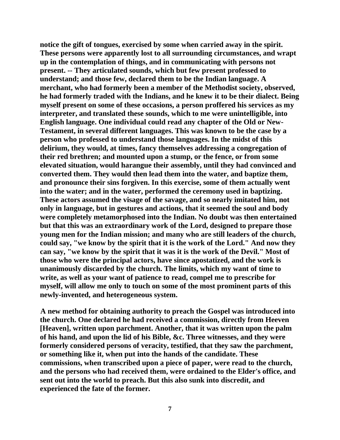**notice the gift of tongues, exercised by some when carried away in the spirit. These persons were apparently lost to all surrounding circumstances, and wrapt up in the contemplation of things, and in communicating with persons not present. -- They articulated sounds, which but few present professed to understand; and those few, declared them to be the Indian language. A merchant, who had formerly been a member of the Methodist society, observed, he had formerly traded with the Indians, and he knew it to be their dialect. Being myself present on some of these occasions, a person proffered his services as my interpreter, and translated these sounds, which to me were unintelligible, into English language. One individual could read any chapter of the Old or New-Testament, in several different languages. This was known to be the case by a person who professed to understand those languages. In the midst of this delirium, they would, at times, fancy themselves addressing a congregation of their red brethren; and mounted upon a stump, or the fence, or from some elevated situation, would harangue their assembly, until they had convinced and converted them. They would then lead them into the water, and baptize them, and pronounce their sins forgiven. In this exercise, some of them actually went into the water; and in the water, performed the ceremony used in baptizing. These actors assumed the visage of the savage, and so nearly imitated him, not only in language, but in gestures and actions, that it seemed the soul and body were completely metamorphosed into the Indian. No doubt was then entertained but that this was an extraordinary work of the Lord, designed to prepare those young men for the Indian mission; and many who are still leaders of the church, could say, "we know by the spirit that it is the work of the Lord." And now they can say, "we know by the spirit that it was it is the work of the Devil." Most of those who were the principal actors, have since apostatized, and the work is unanimously discarded by the church. The limits, which my want of time to write, as well as your want of patience to read, compel me to prescribe for myself, will allow me only to touch on some of the most prominent parts of this newly-invented, and heterogeneous system.**

**A new method for obtaining authority to preach the Gospel was introduced into the church. One declared he had received a commission, directly from Heeven [Heaven], written upon parchment. Another, that it was written upon the palm of his hand, and upon the lid of his Bible, &c. Three witnesses, and they were formerly considered persons of veracity, testified, that they saw the parchment, or something like it, when put into the hands of the candidate. These commissions, when transcribed upon a piece of paper, were read to the church, and the persons who had received them, were ordained to the Elder's office, and sent out into the world to preach. But this also sunk into discredit, and experienced the fate of the former.**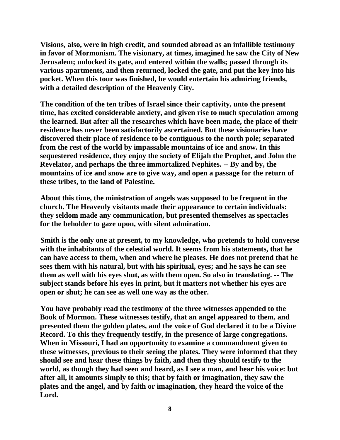**Visions, also, were in high credit, and sounded abroad as an infallible testimony in favor of Mormonism. The visionary, at times, imagined he saw the City of New Jerusalem; unlocked its gate, and entered within the walls; passed through its various apartments, and then returned, locked the gate, and put the key into his pocket. When this tour was finished, he would entertain his admiring friends, with a detailed description of the Heavenly City.**

**The condition of the ten tribes of Israel since their captivity, unto the present time, has excited considerable anxiety, and given rise to much speculation among the learned. But after all the researches which have been made, the place of their residence has never been satisfactorily ascertained. But these visionaries have discovered their place of residence to be contiguous to the north pole; separated from the rest of the world by impassable mountains of ice and snow. In this sequestered residence, they enjoy the society of Elijah the Prophet, and John the Revelator, and perhaps the three immortalized Nephites. -- By and by, the mountains of ice and snow are to give way, and open a passage for the return of these tribes, to the land of Palestine.**

**About this time, the ministration of angels was supposed to be frequent in the church. The Heavenly visitants made their appearance to certain individuals: they seldom made any communication, but presented themselves as spectacles for the beholder to gaze upon, with silent admiration.**

**Smith is the only one at present, to my knowledge, who pretends to hold converse with the inhabitants of the celestial world. It seems from his statements, that he can have access to them, when and where he pleases. He does not pretend that he sees them with his natural, but with his spiritual, eyes; and he says he can see them as well with his eyes shut, as with them open. So also in translating. -- The subject stands before his eyes in print, but it matters not whether his eyes are open or shut; he can see as well one way as the other.**

**You have probably read the testimony of the three witnesses appended to the Book of Mormon. These witnesses testify, that an angel appeared to them, and presented them the golden plates, and the voice of God declared it to be a Divine Record. To this they frequently testify, in the presence of large congregations. When in Missouri, I had an opportunity to examine a commandment given to these witnesses, previous to their seeing the plates. They were informed that they should see and hear these things by faith, and then they should testify to the world, as though they had seen and heard, as I see a man, and hear his voice: but after all, it amounts simply to this; that by faith or imagination, they saw the plates and the angel, and by faith or imagination, they heard the voice of the Lord.**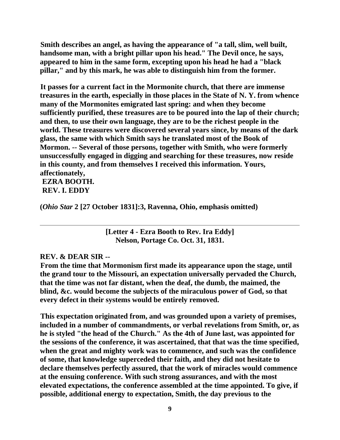**Smith describes an angel, as having the appearance of "a tall, slim, well built, handsome man, with a bright pillar upon his head." The Devil once, he says, appeared to him in the same form, excepting upon his head he had a "black pillar," and by this mark, he was able to distinguish him from the former.**

**It passes for a current fact in the Mormonite church, that there are immense treasures in the earth, especially in those places in the State of N. Y. from whence many of the Mormonites emigrated last spring: and when they become sufficiently purified, these treasures are to be poured into the lap of their church; and then, to use their own language, they are to be the richest people in the world. These treasures were discovered several years since, by means of the dark glass, the same with which Smith says he translated most of the Book of Mormon. -- Several of those persons, together with Smith, who were formerly unsuccessfully engaged in digging and searching for these treasures, now reside in this county, and from themselves I received this information. Yours, affectionately,**

**EZRA BOOTH. REV. I. EDDY**

**(***Ohio Star* **2 [27 October 1831]:3, Ravenna, Ohio, emphasis omitted)**

**[Letter 4 - Ezra Booth to Rev. Ira Eddy] Nelson, Portage Co. Oct. 31, 1831.**

#### **REV. & DEAR SIR --**

**From the time that Mormonism first made its appearance upon the stage, until the grand tour to the Missouri, an expectation universally pervaded the Church, that the time was not far distant, when the deaf, the dumb, the maimed, the blind, &c. would become the subjects of the miraculous power of God, so that every defect in their systems would be entirely removed.**

**This expectation originated from, and was grounded upon a variety of premises, included in a number of commandments, or verbal revelations from Smith, or, as he is styled "the head of the Church." As the 4th of June last, was appointed for the sessions of the conference, it was ascertained, that that was the time specified, when the great and mighty work was to commence, and such was the confidence of some, that knowledge superceded their faith, and they did not hesitate to declare themselves perfectly assured, that the work of miracles would commence at the ensuing conference. With such strong assurances, and with the most elevated expectations, the conference assembled at the time appointed. To give, if possible, additional energy to expectation, Smith, the day previous to the**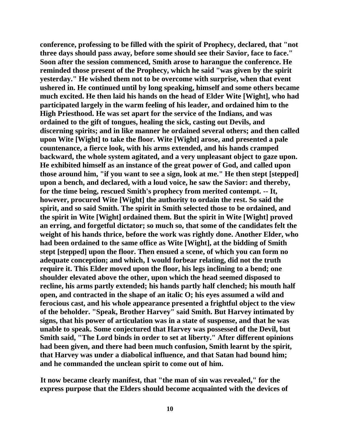**conference, professing to be filled with the spirit of Prophecy, declared, that "not three days should pass away, before some should see their Savior, face to face." Soon after the session commenced, Smith arose to harangue the conference. He reminded those present of the Prophecy, which he said "was given by the spirit yesterday." He wished them not to be overcome with surprise, when that event ushered in. He continued until by long speaking, himself and some others became much excited. He then laid his hands on the head of Elder Wite [Wight], who had participated largely in the warm feeling of his leader, and ordained him to the High Priesthood. He was set apart for the service of the Indians, and was ordained to the gift of tongues, healing the sick, casting out Devils, and discerning spirits; and in like manner he ordained several others; and then called upon Wite [Wight] to take the floor. Wite [Wight] arose, and presented a pale countenance, a fierce look, with his arms extended, and his hands cramped backward, the whole system agitated, and a very unpleasant object to gaze upon. He exhibited himself as an instance of the great power of God, and called upon those around him, "if you want to see a sign, look at me." He then stept [stepped] upon a bench, and declared, with a loud voice, he saw the Savior: and thereby, for the time being, rescued Smith's prophecy from merited contempt. -- It, however, procured Wite [Wight] the authority to ordain the rest. So said the spirit, and so said Smith. The spirit in Smith selected those to be ordained, and the spirit in Wite [Wight] ordained them. But the spirit in Wite [Wight] proved an erring, and forgetful dictator; so much so, that some of the candidates felt the weight of his hands thrice, before the work was rightly done. Another Elder, who had been ordained to the same office as Wite [Wight], at the bidding of Smith stept [stepped] upon the floor. Then ensued a scene, of which you can form no adequate conception; and which, I would forbear relating, did not the truth require it. This Elder moved upon the floor, his legs inclining to a bend; one shoulder elevated above the other, upon which the head seemed disposed to recline, his arms partly extended; his hands partly half clenched; his mouth half open, and contracted in the shape of an italic O; his eyes assumed a wild and ferocious cast, and his whole appearance presented a frightful object to the view of the beholder. "Speak, Brother Harvey" said Smith. But Harvey intimated by signs, that his power of articulation was in a state of suspense, and that he was unable to speak. Some conjectured that Harvey was possessed of the Devil, but Smith said, "The Lord binds in order to set at liberty." After different opinions had been given, and there had been much confusion, Smith learnt by the spirit, that Harvey was under a diabolical influence, and that Satan had bound him; and he commanded the unclean spirit to come out of him.**

**It now became clearly manifest, that "the man of sin was revealed," for the express purpose that the Elders should become acquainted with the devices of**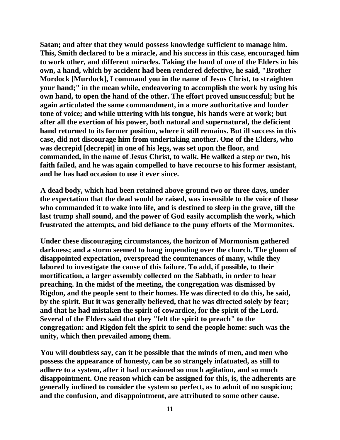**Satan; and after that they would possess knowledge sufficient to manage him. This, Smith declared to be a miracle, and his success in this case, encouraged him to work other, and different miracles. Taking the hand of one of the Elders in his own, a hand, which by accident had been rendered defective, he said, "Brother Mordock [Murdock], I command you in the name of Jesus Christ, to straighten your hand;" in the mean while, endeavoring to accomplish the work by using his own hand, to open the hand of the other. The effort proved unsuccessful; but he again articulated the same commandment, in a more authoritative and louder tone of voice; and while uttering with his tongue, his hands were at work; but after all the exertion of his power, both natural and supernatural, the deficient hand returned to its former position, where it still remains. But ill success in this case, did not discourage him from undertaking another. One of the Elders, who was decrepid [decrepit] in one of his legs, was set upon the floor, and commanded, in the name of Jesus Christ, to walk. He walked a step or two, his faith failed, and he was again compelled to have recourse to his former assistant, and he has had occasion to use it ever since.**

**A dead body, which had been retained above ground two or three days, under the expectation that the dead would be raised, was insensible to the voice of those who commanded it to wake into life, and is destined to sleep in the grave, till the last trump shall sound, and the power of God easily accomplish the work, which frustrated the attempts, and bid defiance to the puny efforts of the Mormonites.**

**Under these discouraging circumstances, the horizon of Mormonism gathered darkness; and a storm seemed to hang impending over the church. The gloom of disappointed expectation, overspread the countenances of many, while they labored to investigate the cause of this failure. To add, if possible, to their mortification, a larger assembly collected on the Sabbath, in order to hear preaching. In the midst of the meeting, the congregation was dismissed by Rigdon, and the people sent to their homes. He was directed to do this, he said, by the spirit. But it was generally believed, that he was directed solely by fear; and that he had mistaken the spirit of cowardice, for the spirit of the Lord. Several of the Elders said that they "felt the spirit to preach" to the congregation: and Rigdon felt the spirit to send the people home: such was the unity, which then prevailed among them.**

**You will doubtless say, can it be possible that the minds of men, and men who possess the appearance of honesty, can be so strangely infatuated, as still to adhere to a system, after it had occasioned so much agitation, and so much disappointment. One reason which can be assigned for this, is, the adherents are generally inclined to consider the system so perfect, as to admit of no suspicion; and the confusion, and disappointment, are attributed to some other cause.**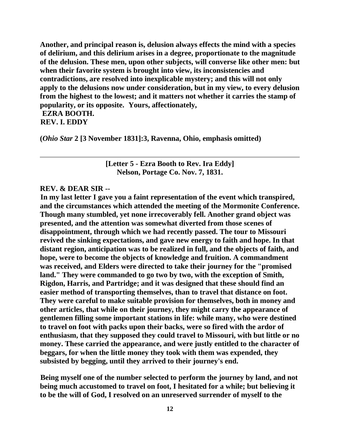**Another, and principal reason is, delusion always effects the mind with a species of delirium, and this delirium arises in a degree, proportionate to the magnitude of the delusion. These men, upon other subjects, will converse like other men: but when their favorite system is brought into view, its inconsistencies and contradictions, are resolved into inexplicable mystery; and this will not only apply to the delusions now under consideration, but in my view, to every delusion from the highest to the lowest; and it matters not whether it carries the stamp of popularity, or its opposite. Yours, affectionately, EZRA BOOTH.**

# **REV. I. EDDY**

**(***Ohio Star* **2 [3 November 1831]:3, Ravenna, Ohio, emphasis omitted)**

**[Letter 5 - Ezra Booth to Rev. Ira Eddy] Nelson, Portage Co. Nov. 7, 1831.**

#### **REV. & DEAR SIR --**

**In my last letter I gave you a faint representation of the event which transpired, and the circumstances which attended the meeting of the Mormonite Conference. Though many stumbled, yet none irrecoverably fell. Another grand object was presented, and the attention was somewhat diverted from those scenes of disappointment, through which we had recently passed. The tour to Missouri revived the sinking expectations, and gave new energy to faith and hope. In that distant region, anticipation was to be realized in full, and the objects of faith, and hope, were to become the objects of knowledge and fruition. A commandment was received, and Elders were directed to take their journey for the "promised land." They were commanded to go two by two, with the exception of Smith, Rigdon, Harris, and Partridge; and it was designed that these should find an easier method of transporting themselves, than to travel that distance on foot. They were careful to make suitable provision for themselves, both in money and other articles, that while on their journey, they might carry the appearance of gentlemen filling some important stations in life: while many, who were destined to travel on foot with packs upon their backs, were so fired with the ardor of enthusiasm, that they supposed they could travel to Missouri, with but little or no money. These carried the appearance, and were justly entitled to the character of beggars, for when the little money they took with them was expended, they subsisted by begging, until they arrived to their journey's end.**

**Being myself one of the number selected to perform the journey by land, and not being much accustomed to travel on foot, I hesitated for a while; but believing it to be the will of God, I resolved on an unreserved surrender of myself to the**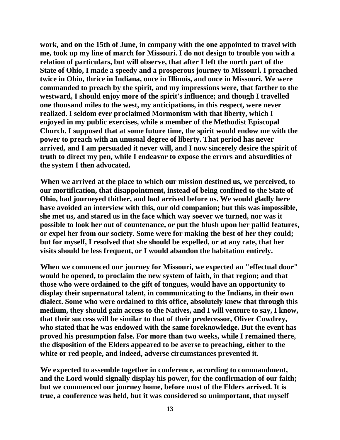**work, and on the 15th of June, in company with the one appointed to travel with me, took up my line of march for Missouri. I do not design to trouble you with a relation of particulars, but will observe, that after I left the north part of the State of Ohio, I made a speedy and a prosperous journey to Missouri. I preached twice in Ohio, thrice in Indiana, once in Illinois, and once in Missouri. We were commanded to preach by the spirit, and my impressions were, that farther to the westward, I should enjoy more of the spirit's influence; and though I travelled one thousand miles to the west, my anticipations, in this respect, were never realized. I seldom ever proclaimed Mormonism with that liberty, which I enjoyed in my public exercises, while a member of the Methodist Episcopal Church. I supposed that at some future time, the spirit would endow me with the power to preach with an unusual degree of liberty. That period has never arrived, and I am persuaded it never will, and I now sincerely desire the spirit of truth to direct my pen, while I endeavor to expose the errors and absurdities of the system I then advocated.**

**When we arrived at the place to which our mission destined us, we perceived, to our mortification, that disappointment, instead of being confined to the State of Ohio, had journeyed thither, and had arrived before us. We would gladly here have avoided an interview with this, our old companion; but this was impossible, she met us, and stared us in the face which way soever we turned, nor was it possible to look her out of countenance, or put the blush upon her pallid features, or expel her from our society. Some were for making the best of her they could; but for myself, I resolved that she should be expelled, or at any rate, that her visits should be less frequent, or I would abandon the habitation entirely.**

**When we commenced our journey for Missouri, we expected an "effectual door" would be opened, to proclaim the new system of faith, in that region; and that those who were ordained to the gift of tongues, would have an opportunity to display their supernatural talent, in communicating to the Indians, in their own dialect. Some who were ordained to this office, absolutely knew that through this medium, they should gain access to the Natives, and I will venture to say, I know, that their success will be similar to that of their predecessor, Oliver Cowdrey, who stated that he was endowed with the same foreknowledge. But the event has proved his presumption false. For more than two weeks, while I remained there, the disposition of the Elders appeared to be averse to preaching, either to the white or red people, and indeed, adverse circumstances prevented it.**

**We expected to assemble together in conference, according to commandment, and the Lord would signally display his power, for the confirmation of our faith; but we commenced our journey home, before most of the Elders arrived. It is true, a conference was held, but it was considered so unimportant, that myself**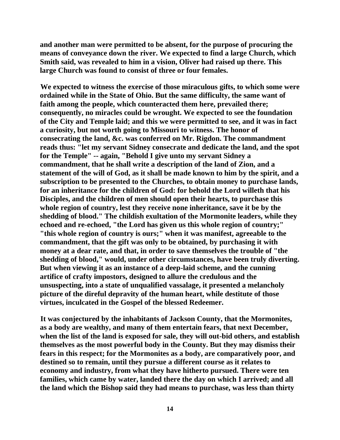**and another man were permitted to be absent, for the purpose of procuring the means of conveyance down the river. We expected to find a large Church, which Smith said, was revealed to him in a vision, Oliver had raised up there. This large Church was found to consist of three or four females.**

**We expected to witness the exercise of those miraculous gifts, to which some were ordained while in the State of Ohio. But the same difficulty, the same want of faith among the people, which counteracted them here, prevailed there; consequently, no miracles could be wrought. We expected to see the foundation of the City and Temple laid; and this we were permitted to see, and it was in fact a curiosity, but not worth going to Missouri to witness. The honor of consecrating the land, &c. was conferred on Mr. Rigdon. The commandment reads thus: "let my servant Sidney consecrate and dedicate the land, and the spot for the Temple" -- again, "Behold I give unto my servant Sidney a commandment, that he shall write a description of the land of Zion, and a statement of the will of God, as it shall be made known to him by the spirit, and a subscription to be presented to the Churches, to obtain money to purchase lands, for an inheritance for the children of God: for behold the Lord willeth that his Disciples, and the children of men should open their hearts, to purchase this whole region of country, lest they receive none inheritance, save it be by the shedding of blood." The childish exultation of the Mormonite leaders, while they echoed and re-echoed, "the Lord has given us this whole region of country;" "this whole region of country is ours;" when it was manifest, agreeable to the commandment, that the gift was only to be obtained, by purchasing it with money at a dear rate, and that, in order to save themselves the trouble of "the shedding of blood," would, under other circumstances, have been truly diverting. But when viewing it as an instance of a deep-laid scheme, and the cunning artifice of crafty impostors, designed to allure the credulous and the unsuspecting, into a state of unqualified vassalage, it presented a melancholy picture of the direful depravity of the human heart, while destitute of those virtues, inculcated in the Gospel of the blessed Redeemer.**

**It was conjectured by the inhabitants of Jackson County, that the Mormonites, as a body are wealthy, and many of them entertain fears, that next December, when the list of the land is exposed for sale, they will out-bid others, and establish themselves as the most powerful body in the County. But they may dismiss their fears in this respect; for the Mormonites as a body, are comparatively poor, and destined so to remain, until they pursue a different course as it relates to economy and industry, from what they have hitherto pursued. There were ten families, which came by water, landed there the day on which I arrived; and all the land which the Bishop said they had means to purchase, was less than thirty**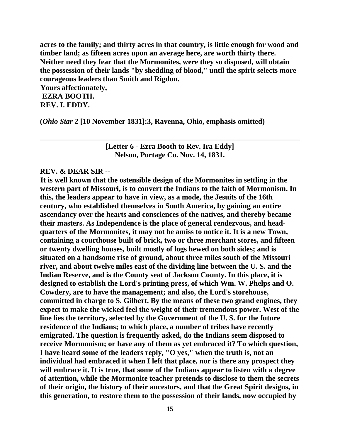**acres to the family; and thirty acres in that country, is little enough for wood and timber land; as fifteen acres upon an average here, are worth thirty there. Neither need they fear that the Mormonites, were they so disposed, will obtain the possession of their lands "by shedding of blood," until the spirit selects more courageous leaders than Smith and Rigdon.**

**Yours affectionately, EZRA BOOTH. REV. I. EDDY.**

**(***Ohio Star* **2 [10 November 1831]:3, Ravenna, Ohio, emphasis omitted)**

**[Letter 6 - Ezra Booth to Rev. Ira Eddy] Nelson, Portage Co. Nov. 14, 1831.**

#### **REV. & DEAR SIR --**

**It is well known that the ostensible design of the Mormonites in settling in the western part of Missouri, is to convert the Indians to the faith of Mormonism. In this, the leaders appear to have in view, as a mode, the Jesuits of the 16th century, who established themselves in South America, by gaining an entire ascendancy over the hearts and consciences of the natives, and thereby became their masters. As Independence is the place of general rendezvous, and headquarters of the Mormonites, it may not be amiss to notice it. It is a new Town, containing a courthouse built of brick, two or three merchant stores, and fifteen or twenty dwelling houses, built mostly of logs hewed on both sides; and is situated on a handsome rise of ground, about three miles south of the Missouri river, and about twelve miles east of the dividing line between the U. S. and the Indian Reserve, and is the County seat of Jackson County. In this place, it is designed to establish the Lord's printing press, of which Wm. W. Phelps and O. Cowdery, are to have the management; and also, the Lord's storehouse, committed in charge to S. Gilbert. By the means of these two grand engines, they expect to make the wicked feel the weight of their tremendous power. West of the line lies the territory, selected by the Government of the U. S. for the future residence of the Indians; to which place, a number of tribes have recently emigrated. The question is frequently asked, do the Indians seem disposed to receive Mormonism; or have any of them as yet embraced it? To which question, I have heard some of the leaders reply, "O yes," when the truth is, not an individual had embraced it when I left that place, nor is there any prospect they will embrace it. It is true, that some of the Indians appear to listen with a degree of attention, while the Mormonite teacher pretends to disclose to them the secrets of their origin, the history of their ancestors, and that the Great Spirit designs, in this generation, to restore them to the possession of their lands, now occupied by**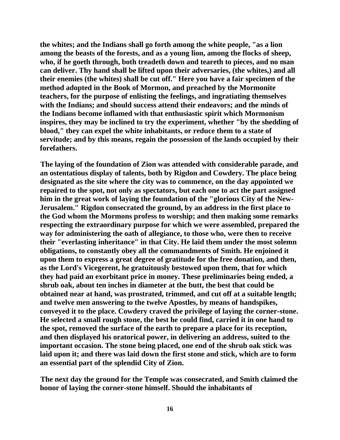**the whites; and the Indians shall go forth among the white people, "as a lion among the beasts of the forests, and as a young lion, among the flocks of sheep, who, if he goeth through, both treadeth down and teareth to pieces, and no man can deliver. Thy hand shall be lifted upon their adversaries, (the whites,) and all their enemies (the whites) shall be cut off." Here you have a fair specimen of the method adopted in the Book of Mormon, and preached by the Mormonite teachers, for the purpose of enlisting the feelings, and ingratiating themselves with the Indians; and should success attend their endeavors; and the minds of the Indians become inflamed with that enthusiastic spirit which Mormonism inspires, they may be inclined to try the experiment, whether "by the shedding of blood," they can expel the white inhabitants, or reduce them to a state of servitude; and by this means, regain the possession of the lands occupied by their forefathers.**

**The laying of the foundation of Zion was attended with considerable parade, and an ostentatious display of talents, both by Rigdon and Cowdery. The place being designated as the site where the city was to commence, on the day appointed we repaired to the spot, not only as spectators, but each one to act the part assigned him in the great work of laying the foundation of the "glorious City of the New-Jerusalem." Rigdon consecrated the ground, by an address in the first place to the God whom the Mormons profess to worship; and then making some remarks respecting the extraordinary purpose for which we were assembled, prepared the way for administering the oath of allegiance, to those who, were then to receive their "everlasting inheritance" in that City. He laid them under the most solemn obligations, to constantly obey all the commandments of Smith. He enjoined it upon them to express a great degree of gratitude for the free donation, and then, as the Lord's Vicegerent, he gratuitously bestowed upon them, that for which they had paid an exorbitant price in money. These preliminaries being ended, a shrub oak, about ten inches in diameter at the butt, the best that could be obtained near at hand, was prostrated, trimmed, and cut off at a suitable length; and twelve men answering to the twelve Apostles, by means of handspikes, conveyed it to the place. Cowdery craved the privilege of laying the corner-stone. He selected a small rough stone, the best he could find, carried it in one hand to the spot, removed the surface of the earth to prepare a place for its reception, and then displayed his oratorical power, in delivering an address, suited to the important occasion. The stone being placed, one end of the shrub oak stick was laid upon it; and there was laid down the first stone and stick, which are to form an essential part of the splendid City of Zion.**

**The next day the ground for the Temple was consecrated, and Smith claimed the honor of laying the corner-stone himself. Should the inhabitants of**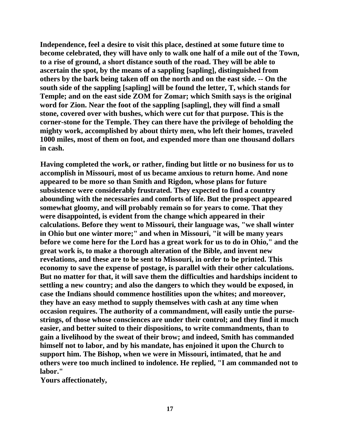**Independence, feel a desire to visit this place, destined at some future time to become celebrated, they will have only to walk one half of a mile out of the Town, to a rise of ground, a short distance south of the road. They will be able to ascertain the spot, by the means of a sappling [sapling], distinguished from others by the bark being taken off on the north and on the east side. -- On the south side of the sappling [sapling] will be found the letter, T, which stands for Temple; and on the east side ZOM for Zomar; which Smith says is the original word for Zion. Near the foot of the sappling [sapling], they will find a small stone, covered over with bushes, which were cut for that purpose. This is the corner-stone for the Temple. They can there have the privilege of beholding the mighty work, accomplished by about thirty men, who left their homes, traveled 1000 miles, most of them on foot, and expended more than one thousand dollars in cash.**

**Having completed the work, or rather, finding but little or no business for us to accomplish in Missouri, most of us became anxious to return home. And none appeared to be more so than Smith and Rigdon, whose plans for future subsistence were considerably frustrated. They expected to find a country abounding with the necessaries and comforts of life. But the prospect appeared somewhat gloomy, and will probably remain so for years to come. That they were disappointed, is evident from the change which appeared in their calculations. Before they went to Missouri, their language was, "we shall winter in Ohio but one winter more;" and when in Missouri, "it will be many years before we come here for the Lord has a great work for us to do in Ohio," and the great work is, to make a thorough alteration of the Bible, and invent new revelations, and these are to be sent to Missouri, in order to be printed. This economy to save the expense of postage, is parallel with their other calculations. But no matter for that, it will save them the difficulties and hardships incident to settling a new country; and also the dangers to which they would be exposed, in case the Indians should commence hostilities upon the whites; and moreover, they have an easy method to supply themselves with cash at any time when occasion requires. The authority of a commandment, will easily untie the pursestrings, of those whose consciences are under their control; and they find it much easier, and better suited to their dispositions, to write commandments, than to gain a livelihood by the sweat of their brow; and indeed, Smith has commanded himself not to labor, and by his mandate, has enjoined it upon the Church to support him. The Bishop, when we were in Missouri, intimated, that he and others were too much inclined to indolence. He replied, "I am commanded not to labor."**

**Yours affectionately,**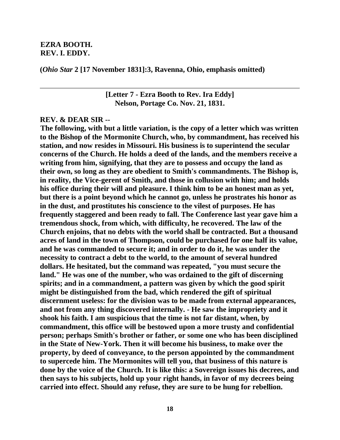#### **EZRA BOOTH. REV. I. EDDY.**

**(***Ohio Star* **2 [17 November 1831]:3, Ravenna, Ohio, emphasis omitted)**

**[Letter 7 - Ezra Booth to Rev. Ira Eddy] Nelson, Portage Co. Nov. 21, 1831.**

#### **REV. & DEAR SIR --**

**The following, with but a little variation, is the copy of a letter which was written to the Bishop of the Mormonite Church, who, by commandment, has received his station, and now resides in Missouri. His business is to superintend the secular concerns of the Church. He holds a deed of the lands, and the members receive a writing from him, signifying, that they are to possess and occupy the land as their own, so long as they are obedient to Smith's commandments. The Bishop is, in reality, the Vice-gerent of Smith, and those in collusion with him; and holds his office during their will and pleasure. I think him to be an honest man as yet, but there is a point beyond which he cannot go, unless he prostrates his honor as in the dust, and prostitutes his conscience to the vilest of purposes. He has frequently staggered and been ready to fall. The Conference last year gave him a tremendous shock, from which, with difficulty, he recovered. The law of the Church enjoins, that no debts with the world shall be contracted. But a thousand acres of land in the town of Thompson, could be purchased for one half its value, and he was commanded to secure it; and in order to do it, he was under the necessity to contract a debt to the world, to the amount of several hundred dollars. He hesitated, but the command was repeated, "you must secure the land." He was one of the number, who was ordained to the gift of discerning spirits; and in a commandment, a pattern was given by which the good spirit might be distinguished from the bad, which rendered the gift of spiritual discernment useless: for the division was to be made from external appearances, and not from any thing discovered internally. - He saw the impropriety and it shook his faith. I am suspicious that the time is not far distant, when, by commandment, this office will be bestowed upon a more trusty and confidential person; perhaps Smith's brother or father, or some one who has been disciplined in the State of New-York. Then it will become his business, to make over the property, by deed of conveyance, to the person appointed by the commandment to supercede him. The Mormonites will tell you, that business of this nature is done by the voice of the Church. It is like this: a Sovereign issues his decrees, and then says to his subjects, hold up your right hands, in favor of my decrees being carried into effect. Should any refuse, they are sure to be hung for rebellion.**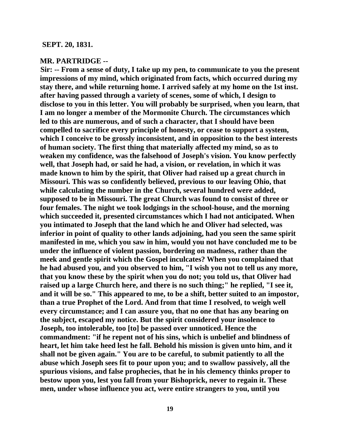#### **SEPT. 20, 1831.**

#### **MR. PARTRIDGE --**

**Sir: -- From a sense of duty, I take up my pen, to communicate to you the present impressions of my mind, which originated from facts, which occurred during my stay there, and while returning home. I arrived safely at my home on the 1st inst. after having passed through a variety of scenes, some of which, I design to disclose to you in this letter. You will probably be surprised, when you learn, that I am no longer a member of the Mormonite Church. The circumstances which led to this are numerous, and of such a character, that I should have been compelled to sacrifice every principle of honesty, or cease to support a system, which I conceive to be grossly inconsistent, and in opposition to the best interests of human society. The first thing that materially affected my mind, so as to weaken my confidence, was the falsehood of Joseph's vision. You know perfectly well, that Joseph had, or said he had, a vision, or revelation, in which it was made known to him by the spirit, that Oliver had raised up a great church in Missouri. This was so confidently believed, previous to our leaving Ohio, that while calculating the number in the Church, several hundred were added, supposed to be in Missouri. The great Church was found to consist of three or four females. The night we took lodgings in the school-house, and the morning which succeeded it, presented circumstances which I had not anticipated. When you intimated to Joseph that the land which he and Oliver had selected, was inferior in point of quality to other lands adjoining, had you seen the same spirit manifested in me, which you saw in him, would you not have concluded me to be under the influence of violent passion, bordering on madness, rather than the meek and gentle spirit which the Gospel inculcates? When you complained that he had abused you, and you observed to him, "I wish you not to tell us any more, that you know these by the spirit when you do not; you told us, that Oliver had raised up a large Church here, and there is no such thing;" he replied, "I see it, and it will be so." This appeared to me, to be a shift, better suited to an impostor, than a true Prophet of the Lord. And from that time I resolved, to weigh well every circumstance; and I can assure you, that no one that has any bearing on the subject, escaped my notice. But the spirit considered your insolence to Joseph, too intolerable, too [to] be passed over unnoticed. Hence the commandment: "if he repent not of his sins, which is unbelief and blindness of heart, let him take heed lest he fall. Behold his mission is given unto him, and it shall not be given again." You are to be careful, to submit patiently to all the abuse which Joseph sees fit to pour upon you; and to swallow passively, all the spurious visions, and false prophecies, that he in his clemency thinks proper to bestow upon you, lest you fall from your Bishoprick, never to regain it. These men, under whose influence you act, were entire strangers to you, until you**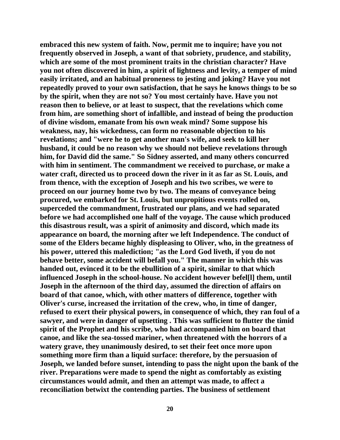**embraced this new system of faith. Now, permit me to inquire; have you not frequently observed in Joseph, a want of that sobriety, prudence, and stability, which are some of the most prominent traits in the christian character? Have you not often discovered in him, a spirit of lightness and levity, a temper of mind easily irritated, and an habitual proneness to jesting and joking? Have you not repeatedly proved to your own satisfaction, that he says he knows things to be so by the spirit, when they are not so? You most certainly have. Have you not reason then to believe, or at least to suspect, that the revelations which come from him, are something short of infallible, and instead of being the production of divine wisdom, emanate from his own weak mind? Some suppose his weakness, nay, his wickedness, can form no reasonable objection to his revelations; and "were he to get another man's wife, and seek to kill her husband, it could be no reason why we should not believe revelations through him, for David did the same." So Sidney asserted, and many others concurred with him in sentiment. The commandment we received to purchase, or make a water craft, directed us to proceed down the river in it as far as St. Louis, and from thence, with the exception of Joseph and his two scribes, we were to proceed on our journey home two by two. The means of conveyance being procured, we embarked for St. Louis, but unpropitious events rolled on, superceded the commandment, frustrated our plans, and we had separated before we had accomplished one half of the voyage. The cause which produced this disastrous result, was a spirit of animosity and discord, which made its appearance on board, the morning after we left Independence. The conduct of some of the Elders became highly displeasing to Oliver, who, in the greatness of his power, uttered this malediction; "as the Lord God liveth, if you do not behave better, some accident will befall you." The manner in which this was handed out, evinced it to be the ebullition of a spirit, similar to that which influenced Joseph in the school-house. No accident however befel[l] them, until Joseph in the afternoon of the third day, assumed the direction of affairs on board of that canoe, which, with other matters of difference, together with Oliver's curse, increased the irritation of the crew, who, in time of danger, refused to exert their physical powers, in consequence of which, they ran foul of a sawyer, and were in danger of upsetting . This was sufficient to flutter the timid spirit of the Prophet and his scribe, who had accompanied him on board that canoe, and like the sea-tossed mariner, when threatened with the horrors of a watery grave, they unanimously desired, to set their feet once more upon something more firm than a liquid surface: therefore, by the persuasion of Joseph, we landed before sunset, intending to pass the night upon the bank of the river. Preparations were made to spend the night as comfortably as existing circumstances would admit, and then an attempt was made, to affect a reconciliation betwixt the contending parties. The business of settlement**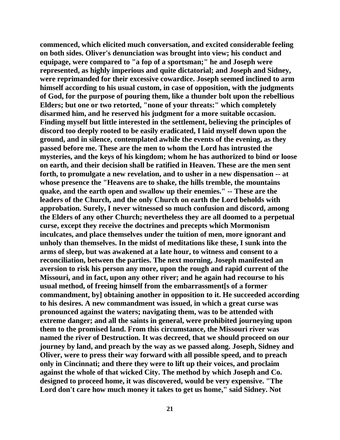**commenced, which elicited much conversation, and excited considerable feeling on both sides. Oliver's denunciation was brought into view; his conduct and equipage, were compared to "a fop of a sportsman;" he and Joseph were represented, as highly imperious and quite dictatorial; and Joseph and Sidney, were reprimanded for their excessive cowardice. Joseph seemed inclined to arm himself according to his usual custom, in case of opposition, with the judgments of God, for the purpose of pouring them, like a thunder bolt upon the rebellious Elders; but one or two retorted, "none of your threats:" which completely disarmed him, and he reserved his judgment for a more suitable occasion. Finding myself but little interested in the settlement, believing the principles of discord too deeply rooted to be easily eradicated, I laid myself down upon the ground, and in silence, contemplated awhile the events of the evening, as they passed before me. These are the men to whom the Lord has intrusted the mysteries, and the keys of his kingdom; whom he has authorized to bind or loose on earth, and their decision shall be ratified in Heaven. These are the men sent forth, to promulgate a new revelation, and to usher in a new dispensation -- at whose presence the "Heavens are to shake, the hills tremble, the mountains quake, and the earth open and swallow up their enemies." -- These are the leaders of the Church, and the only Church on earth the Lord beholds with approbation. Surely, I never witnessed so much confusion and discord, among the Elders of any other Church; nevertheless they are all doomed to a perpetual curse, except they receive the doctrines and precepts which Mormonism inculcates, and place themselves under the tuition of men, more ignorant and unholy than themselves. In the midst of meditations like these, I sunk into the arms of sleep, but was awakened at a late hour, to witness and consent to a reconciliation, between the parties. The next morning, Joseph manifested an aversion to risk his person any more, upon the rough and rapid current of the Missouri, and in fact, upon any other river; and he again had recourse to his usual method, of freeing himself from the embarrassment[s of a former commandment, by] obtaining another in opposition to it. He succeeded according to his desires. A new commandment was issued, in which a great curse was pronounced against the waters; navigating them, was to be attended with extreme danger; and all the saints in general, were prohibited journeying upon them to the promised land. From this circumstance, the Missouri river was named the river of Destruction. It was decreed, that we should proceed on our journey by land, and preach by the way as we passed along. Joseph, Sidney and Oliver, were to press their way forward with all possible speed, and to preach only in Cincinnati; and there they were to lift up their voices, and proclaim against the whole of that wicked City. The method by which Joseph and Co. designed to proceed home, it was discovered, would be very expensive. "The Lord don't care how much money it takes to get us home," said Sidney. Not**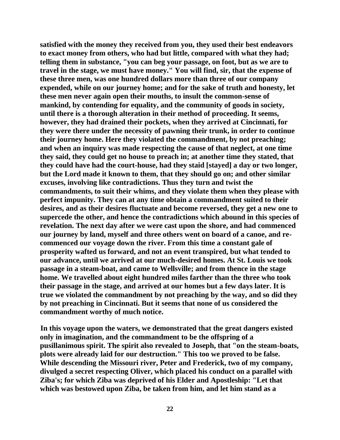**satisfied with the money they received from you, they used their best endeavors to exact money from others, who had but little, compared with what they had; telling them in substance, "you can beg your passage, on foot, but as we are to travel in the stage, we must have money." You will find, sir, that the expense of these three men, was one hundred dollars more than three of our company expended, while on our journey home; and for the sake of truth and honesty, let these men never again open their mouths, to insult the common-sense of mankind, by contending for equality, and the community of goods in society, until there is a thorough alteration in their method of proceeding. It seems, however, they had drained their pockets, when they arrived at Cincinnati, for they were there under the necessity of pawning their trunk, in order to continue their journey home. Here they violated the commandment, by not preaching; and when an inquiry was made respecting the cause of that neglect, at one time they said, they could get no house to preach in; at another time they stated, that they could have had the court-house, had they staid [stayed] a day or two longer, but the Lord made it known to them, that they should go on; and other similar excuses, involving like contradictions. Thus they turn and twist the commandments, to suit their whims, and they violate them when they please with perfect impunity. They can at any time obtain a commandment suited to their desires, and as their desires fluctuate and become reversed, they get a new one to supercede the other, and hence the contradictions which abound in this species of revelation. The next day after we were cast upon the shore, and had commenced our journey by land, myself and three others went on board of a canoe, and recommenced our voyage down the river. From this time a constant gale of prosperity wafted us forward, and not an event transpired, but what tended to our advance, until we arrived at our much-desired homes. At St. Louis we took passage in a steam-boat, and came to Wellsville; and from thence in the stage home. We travelled about eight hundred miles farther than the three who took their passage in the stage, and arrived at our homes but a few days later. It is true we violated the commandment by not preaching by the way, and so did they by not preaching in Cincinnati. But it seems that none of us considered the commandment worthy of much notice.**

**In this voyage upon the waters, we demonstrated that the great dangers existed only in imagination, and the commandment to be the offspring of a pusillanimous spirit. The spirit also revealed to Joseph, that "on the steam-boats, plots were already laid for our destruction." This too we proved to be false. While descending the Missouri river, Peter and Frederick, two of my company, divulged a secret respecting Oliver, which placed his conduct on a parallel with Ziba's; for which Ziba was deprived of his Elder and Apostleship: "Let that which was bestowed upon Ziba, be taken from him, and let him stand as a**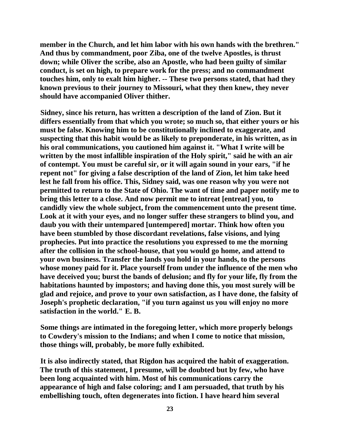**member in the Church, and let him labor with his own hands with the brethren." And thus by commandment, poor Ziba, one of the twelve Apostles, is thrust down; while Oliver the scribe, also an Apostle, who had been guilty of similar conduct, is set on high, to prepare work for the press; and no commandment touches him, only to exalt him higher. -- These two persons stated, that had they known previous to their journey to Missouri, what they then knew, they never should have accompanied Oliver thither.**

**Sidney, since his return, has written a description of the land of Zion. But it differs essentially from that which you wrote; so much so, that either yours or his must be false. Knowing him to be constitutionally inclined to exaggerate, and suspecting that this habit would be as likely to preponderate, in his written, as in his oral communications, you cautioned him against it. "What I write will be written by the most infallible inspiration of the Holy spirit," said he with an air of contempt. You must be careful sir, or it will again sound in your ears, "if he repent not" for giving a false description of the land of Zion, let him take heed lest he fall from his office. This, Sidney said, was one reason why you were not permitted to return to the State of Ohio. The want of time and paper notify me to bring this letter to a close. And now permit me to intreat [entreat] you, to candidly view the whole subject, from the commencement unto the present time. Look at it with your eyes, and no longer suffer these strangers to blind you, and daub you with their untempared [untempered] mortar. Think how often you have been stumbled by those discordant revelations, false visions, and lying prophecies. Put into practice the resolutions you expressed to me the morning after the collision in the school-house, that you would go home, and attend to your own business. Transfer the lands you hold in your hands, to the persons whose money paid for it. Place yourself from under the influence of the men who have deceived you; burst the bands of delusion; and fly for your life, fly from the habitations haunted by impostors; and having done this, you most surely will be glad and rejoice, and prove to your own satisfaction, as I have done, the falsity of Joseph's prophetic declaration, "if you turn against us you will enjoy no more satisfaction in the world." E. B.**

**Some things are intimated in the foregoing letter, which more properly belongs to Cowdery's mission to the Indians; and when I come to notice that mission, those things will, probably, be more fully exhibited.**

**It is also indirectly stated, that Rigdon has acquired the habit of exaggeration. The truth of this statement, I presume, will be doubted but by few, who have been long acquainted with him. Most of his communications carry the appearance of high and false coloring; and I am persuaded, that truth by his embellishing touch, often degenerates into fiction. I have heard him several**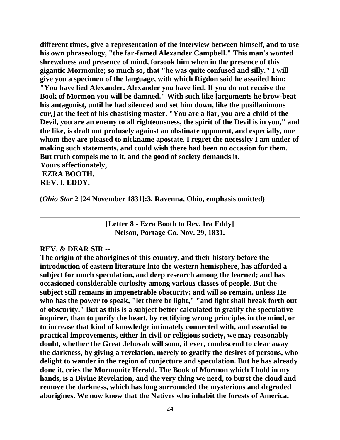**different times, give a representation of the interview between himself, and to use his own phraseology, "the far-famed Alexander Campbell." This man's wonted shrewdness and presence of mind, forsook him when in the presence of this gigantic Mormonite; so much so, that "he was quite confused and silly." I will give you a specimen of the language, with which Rigdon said he assailed him: "You have lied Alexander. Alexander you have lied. If you do not receive the Book of Mormon you will be damned." With such like [arguments he brow-beat his antagonist, until he had silenced and set him down, like the pusillanimous cur,] at the feet of his chastising master. "You are a liar, you are a child of the Devil, you are an enemy to all righteousness, the spirit of the Devil is in you," and the like, is dealt out profusely against an obstinate opponent, and especially, one whom they are pleased to nickname apostate. I regret the necessity I am under of making such statements, and could wish there had been no occasion for them. But truth compels me to it, and the good of society demands it. Yours affectionately,**

**EZRA BOOTH. REV. I. EDDY.**

**(***Ohio Star* **2 [24 November 1831]:3, Ravenna, Ohio, emphasis omitted)**

**[Letter 8 - Ezra Booth to Rev. Ira Eddy] Nelson, Portage Co. Nov. 29, 1831.**

#### **REV. & DEAR SIR --**

**The origin of the aborigines of this country, and their history before the introduction of eastern literature into the western hemisphere, has afforded a subject for much speculation, and deep research among the learned; and has occasioned considerable curiosity among various classes of people. But the subject still remains in impenetrable obscurity; and will so remain, unless He who has the power to speak, "let there be light," "and light shall break forth out of obscurity." But as this is a subject better calculated to gratify the speculative inquirer, than to purify the heart, by rectifying wrong principles in the mind, or to increase that kind of knowledge intimately connected with, and essential to practical improvements, either in civil or religious society, we may reasonably doubt, whether the Great Jehovah will soon, if ever, condescend to clear away the darkness, by giving a revelation, merely to gratify the desires of persons, who delight to wander in the region of conjecture and speculation. But he has already done it, cries the Mormonite Herald. The Book of Mormon which I hold in my hands, is a Divine Revelation, and the very thing we need, to burst the cloud and remove the darkness, which has long surrounded the mysterious and degraded aborigines. We now know that the Natives who inhabit the forests of America,**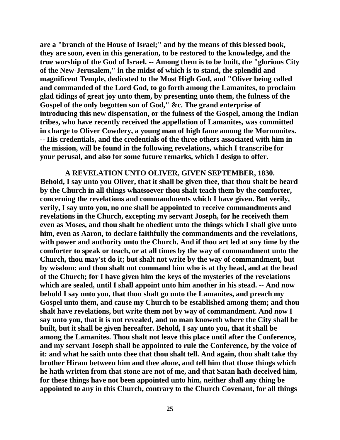**are a "branch of the House of Israel;" and by the means of this blessed book, they are soon, even in this generation, to be restored to the knowledge, and the true worship of the God of Israel. -- Among them is to be built, the "glorious City of the New-Jerusalem," in the midst of which is to stand, the splendid and magnificent Temple, dedicated to the Most High God, and "Oliver being called and commanded of the Lord God, to go forth among the Lamanites, to proclaim glad tidings of great joy unto them, by presenting unto them, the fulness of the Gospel of the only begotten son of God," &c. The grand enterprise of introducing this new dispensation, or the fulness of the Gospel, among the Indian tribes, who have recently received the appellation of Lamanites, was committed in charge to Oliver Cowdery, a young man of high fame among the Mormonites. -- His credentials, and the credentials of the three others associated with him in the mission, will be found in the following revelations, which I transcribe for your perusal, and also for some future remarks, which I design to offer.**

**A REVELATION UNTO OLIVER, GIVEN SEPTEMBER, 1830. Behold, I say unto you Oliver, that it shall be given thee, that thou shalt be heard by the Church in all things whatsoever thou shalt teach them by the comforter, concerning the revelations and commandments which I have given. But verily, verily, I say unto you, no one shall be appointed to receive commandments and revelations in the Church, excepting my servant Joseph, for he receiveth them even as Moses, and thou shalt be obedient unto the things which I shall give unto him, even as Aaron, to declare faithfully the commandments and the revelations, with power and authority unto the Church. And if thou art led at any time by the comforter to speak or teach, or at all times by the way of commandment unto the Church, thou may'st do it; but shalt not write by the way of commandment, but by wisdom: and thou shalt not command him who is at thy head, and at the head of the Church; for I have given him the keys of the mysteries of the revelations which are sealed, until I shall appoint unto him another in his stead. -- And now behold I say unto you, that thou shalt go unto the Lamanites, and preach my Gospel unto them, and cause my Church to be established among them; and thou shalt have revelations, but write them not by way of commandment. And now I say unto you, that it is not revealed, and no man knoweth where the City shall be built, but it shall be given hereafter. Behold, I say unto you, that it shall be among the Lamanites. Thou shalt not leave this place until after the Conference, and my servant Joseph shall be appointed to rule the Conference, by the voice of it: and what he saith unto thee that thou shalt tell. And again, thou shalt take thy brother Hiram between him and thee alone, and tell him that those things which he hath written from that stone are not of me, and that Satan hath deceived him, for these things have not been appointed unto him, neither shall any thing be appointed to any in this Church, contrary to the Church Covenant, for all things**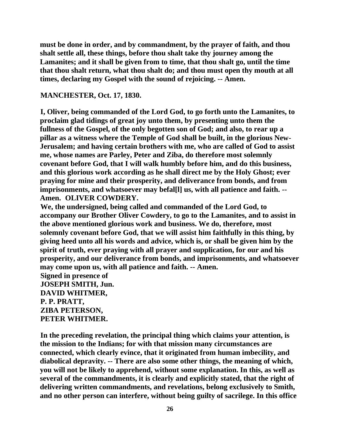**must be done in order, and by commandment, by the prayer of faith, and thou shalt settle all, these things, before thou shalt take thy journey among the Lamanites; and it shall be given from to time, that thou shalt go, until the time that thou shalt return, what thou shalt do; and thou must open thy mouth at all times, declaring my Gospel with the sound of rejoicing. -- Amen.**

# **MANCHESTER, Oct. 17, 1830.**

**I, Oliver, being commanded of the Lord God, to go forth unto the Lamanites, to proclaim glad tidings of great joy unto them, by presenting unto them the fullness of the Gospel, of the only begotten son of God; and also, to rear up a pillar as a witness where the Temple of God shall be built, in the glorious New-Jerusalem; and having certain brothers with me, who are called of God to assist me, whose names are Parley, Peter and Ziba, do therefore most solemnly covenant before God, that I will walk humbly before him, and do this business, and this glorious work according as he shall direct me by the Holy Ghost; ever praying for mine and their prosperity, and deliverance from bonds, and from imprisonments, and whatsoever may befal[l] us, with all patience and faith. -- Amen. OLIVER COWDERY.**

**We, the undersigned, being called and commanded of the Lord God, to accompany our Brother Oliver Cowdery, to go to the Lamanites, and to assist in the above mentioned glorious work and business. We do, therefore, most solemnly covenant before God, that we will assist him faithfully in this thing, by giving heed unto all his words and advice, which is, or shall be given him by the spirit of truth, ever praying with all prayer and supplication, for our and his prosperity, and our deliverance from bonds, and imprisonments, and whatsoever may come upon us, with all patience and faith. -- Amen.**

**Signed in presence of JOSEPH SMITH, Jun. DAVID WHITMER, P. P. PRATT, ZIBA PETERSON, PETER WHITMER.**

**In the preceding revelation, the principal thing which claims your attention, is the mission to the Indians; for with that mission many circumstances are connected, which clearly evince, that it originated from human imbecility, and diabolical depravity. -- There are also some other things, the meaning of which, you will not be likely to apprehend, without some explanation. In this, as well as several of the commandments, it is clearly and explicitly stated, that the right of delivering written commandments, and revelations, belong exclusively to Smith, and no other person can interfere, without being guilty of sacrilege. In this office**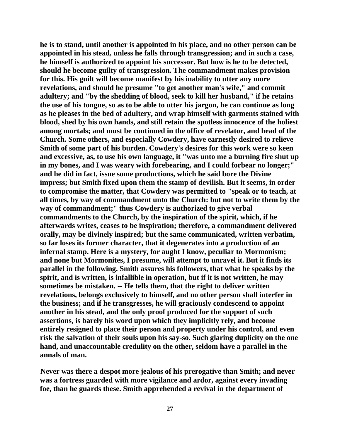**he is to stand, until another is appointed in his place, and no other person can be appointed in his stead, unless he falls through transgression; and in such a case, he himself is authorized to appoint his successor. But how is he to be detected, should he become guilty of transgression. The commandment makes provision for this. His guilt will become manifest by his inability to utter any more revelations, and should he presume "to get another man's wife," and commit adultery; and "by the shedding of blood, seek to kill her husband," if he retains the use of his tongue, so as to be able to utter his jargon, he can continue as long as he pleases in the bed of adultery, and wrap himself with garments stained with blood, shed by his own hands, and still retain the spotless innocence of the holiest among mortals; and must be continued in the office of revelator, and head of the Church. Some others, and especially Cowdery, have earnestly desired to relieve Smith of some part of his burden. Cowdery's desires for this work were so keen and excessive, as, to use his own language, it "was unto me a burning fire shut up in my bones, and I was weary with forebearing, and I could forbear no longer;" and he did in fact, issue some productions, which he said bore the Divine impress; but Smith fixed upon them the stamp of devilish. But it seems, in order to compromise the matter, that Cowdery was permitted to "speak or to teach, at all times, by way of commandment unto the Church: but not to write them by the way of commandment;" thus Cowdery is authorized to give verbal commandments to the Church, by the inspiration of the spirit, which, if he afterwards writes, ceases to be inspiration; therefore, a commandment delivered orally, may be divinely inspired; but the same communicated, written verbatim, so far loses its former character, that it degenerates into a production of an infernal stamp. Here is a mystery, for aught I know, peculiar to Mormonism; and none but Mormonites, I presume, will attempt to unravel it. But it finds its parallel in the following. Smith assures his followers, that what he speaks by the spirit, and is written, is infallible in operation, but if it is not written, he may sometimes be mistaken. -- He tells them, that the right to deliver written revelations, belongs exclusively to himself, and no other person shall interfer in the business; and if he transgresses, he will graciously condescend to appoint another in his stead, and the only proof produced for the support of such assertions, is barely his word upon which they implicitly rely, and become entirely resigned to place their person and property under his control, and even risk the salvation of their souls upon his say-so. Such glaring duplicity on the one hand, and unaccountable credulity on the other, seldom have a parallel in the annals of man.**

**Never was there a despot more jealous of his prerogative than Smith; and never was a fortress guarded with more vigilance and ardor, against every invading foe, than he guards these. Smith apprehended a revival in the department of**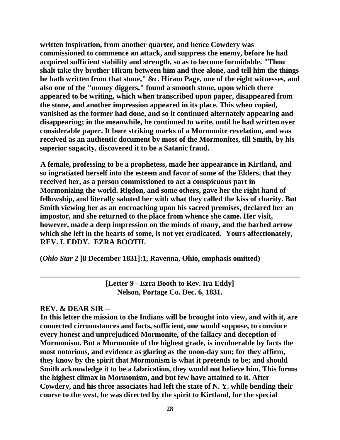**written inspiration, from another quarter, and hence Cowdery was commissioned to commence an attack, and suppress the enemy, before he had acquired sufficient stability and strength, so as to become formidable. "Thou shalt take thy brother Hiram between him and thee alone, and tell him the things he hath written from that stone," &c. Hiram Page, one of the eight witnesses, and also one of the "money diggers," found a smooth stone, upon which there appeared to be writing, which when transcribed upon paper, disappeared from the stone, and another impression appeared in its place. This when copied, vanished as the former had done, and so it continued alternately appearing and disappearing; in the meanwhile, he continued to write, until he had written over considerable paper. It bore striking marks of a Mormonite revelation, and was received as an authentic document by most of the Mormonites, till Smith, by his superior sagacity, discovered it to be a Satanic fraud.**

**A female, professing to be a prophetess, made her appearance in Kirtland, and so ingratiated herself into the esteem and favor of some of the Elders, that they received her, as a person commissioned to act a conspicuous part in Mormonizing the world. Rigdon, and some others, gave her the right hand of fellowship, and literally saluted her with what they called the kiss of charity. But Smith viewing her as an encroaching upon his sacred premises, declared her an impostor, and she returned to the place from whence she came. Her visit, however, made a deep impression on the minds of many, and the barbed arrow which she left in the hearts of some, is not yet eradicated. Yours affectionately, REV. I. EDDY. EZRA BOOTH.**

**(***Ohio Star* **2 [8 December 1831]:1, Ravenna, Ohio, emphasis omitted)**

**[Letter 9 - Ezra Booth to Rev. Ira Eddy] Nelson, Portage Co. Dec. 6, 1831.**

# **REV. & DEAR SIR --**

**In this letter the mission to the Indians will be brought into view, and with it, are connected circumstances and facts, sufficient, one would suppose, to convince every honest and unprejudiced Mormonite, of the fallacy and deception of Mormonism. But a Mormonite of the highest grade, is invulnerable by facts the most notorious, and evidence as glaring as the noon-day sun; for they affirm, they know by the spirit that Mormonism is what it pretends to be; and should Smith acknowledge it to be a fabrication, they would not believe him. This forms the highest climax in Mormonism, and but few have attained to it. After Cowdery, and his three associates had left the state of N. Y. while bending their course to the west, he was directed by the spirit to Kirtland, for the special**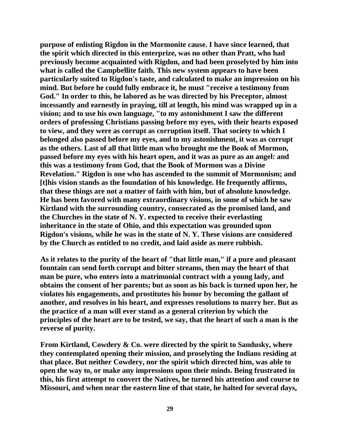**purpose of enlisting Rigdon in the Mormonite cause. I have since learned, that the spirit which directed in this enterprize, was no other than Pratt, who had previously become acquainted with Rigdon, and had been proselyted by him into what is called the Campbellite faith. This new system appears to have been particularly suited to Rigdon's taste, and calculated to make an impression on his mind. But before he could fully embrace it, he must "receive a testimony from God." In order to this, he labored as he was directed by his Preceptor, almost incessantly and earnestly in praying, till at length, his mind was wrapped up in a vision; and to use his own language, "to my astonishment I saw the different orders of professing Christians passing before my eyes, with their hearts exposed to view, and they were as corrupt as corruption itself. That society to which I belonged also passed before my eyes, and to my astonishment, it was as corrupt as the others. Last of all that little man who brought me the Book of Mormon, passed before my eyes with his heart open, and it was as pure as an angel: and this was a testimony from God, that the Book of Mormon was a Divine Revelation." Rigdon is one who has ascended to the summit of Mormonism; and [t]his vision stands as the foundation of his knowledge. He frequently affirms, that these things are not a matter of faith with him, but of absolute knowledge. He has been favored with many extraordinary visions, in some of which he saw Kirtland with the surrounding country, consecrated as the promised land, and the Churches in the state of N. Y. expected to receive their everlasting inheritance in the state of Ohio, and this expectation was grounded upon Rigdon's visions, while he was in the state of N. Y. These visions are considered by the Church as entitled to no credit, and laid aside as mere rubbish.**

**As it relates to the purity of the heart of "that little man," if a pure and pleasant fountain can send forth corrupt and bitter streams, then may the heart of that man be pure, who enters into a matrimonial contract with a young lady, and obtains the consent of her parents; but as soon as his back is turned upon her, he violates his engagements, and prostitutes his honor by becoming the gallant of another, and resolves in his heart, and expresses resolutions to marry her. But as the practice of a man will ever stand as a general criterion by which the principles of the heart are to be tested, we say, that the heart of such a man is the reverse of purity.**

**From Kirtland, Cowdery & Co. were directed by the spirit to Sandusky, where they contemplated opening their mission, and proselyting the Indians residing at that place. But neither Cowdery, nor the spirit which directed him, was able to open the way to, or make any impressions upon their minds. Being frustrated in this, his first attempt to convert the Natives, he turned his attention and course to Missouri, and when near the eastern line of that state, he halted for several days,**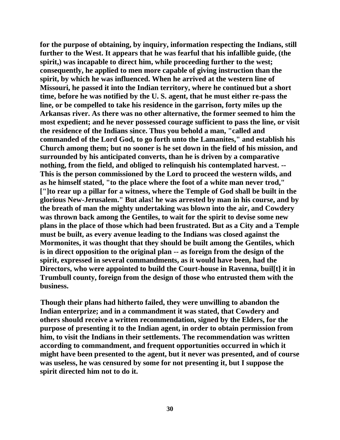**for the purpose of obtaining, by inquiry, information respecting the Indians, still further to the West. It appears that he was fearful that his infallible guide, (the spirit,) was incapable to direct him, while proceeding further to the west; consequently, he applied to men more capable of giving instruction than the spirit, by which he was influenced. When he arrived at the western line of Missouri, he passed it into the Indian territory, where he continued but a short time, before he was notified by the U. S. agent, that he must either re-pass the line, or be compelled to take his residence in the garrison, forty miles up the Arkansas river. As there was no other alternative, the former seemed to him the most expedient; and he never possessed courage sufficient to pass the line, or visit the residence of the Indians since. Thus you behold a man, "called and commanded of the Lord God, to go forth unto the Lamanites," and establish his Church among them; but no sooner is he set down in the field of his mission, and surrounded by his anticipated converts, than he is driven by a comparative nothing, from the field, and obliged to relinquish his contemplated harvest. -- This is the person commissioned by the Lord to proceed the western wilds, and as he himself stated, "to the place where the foot of a white man never trod," ["]to rear up a pillar for a witness, where the Temple of God shall be built in the glorious New-Jerusalem." But alas! he was arrested by man in his course, and by the breath of man the mighty undertaking was blown into the air, and Cowdery was thrown back among the Gentiles, to wait for the spirit to devise some new plans in the place of those which had been frustrated. But as a City and a Temple must be built, as every avenue leading to the Indians was closed against the Mormonites, it was thought that they should be built among the Gentiles, which is in direct opposition to the original plan -- as foreign from the design of the spirit, expressed in several commandments, as it would have been, had the Directors, who were appointed to build the Court-house in Ravenna, buil[t] it in Trumbull county, foreign from the design of those who entrusted them with the business.**

**Though their plans had hitherto failed, they were unwilling to abandon the Indian enterprize; and in a commandment it was stated, that Cowdery and others should receive a written recommendation, signed by the Elders, for the purpose of presenting it to the Indian agent, in order to obtain permission from him, to visit the Indians in their settlements. The recommendation was written according to commandment, and frequent opportunities occurred in which it might have been presented to the agent, but it never was presented, and of course was useless, he was censured by some for not presenting it, but I suppose the spirit directed him not to do it.**